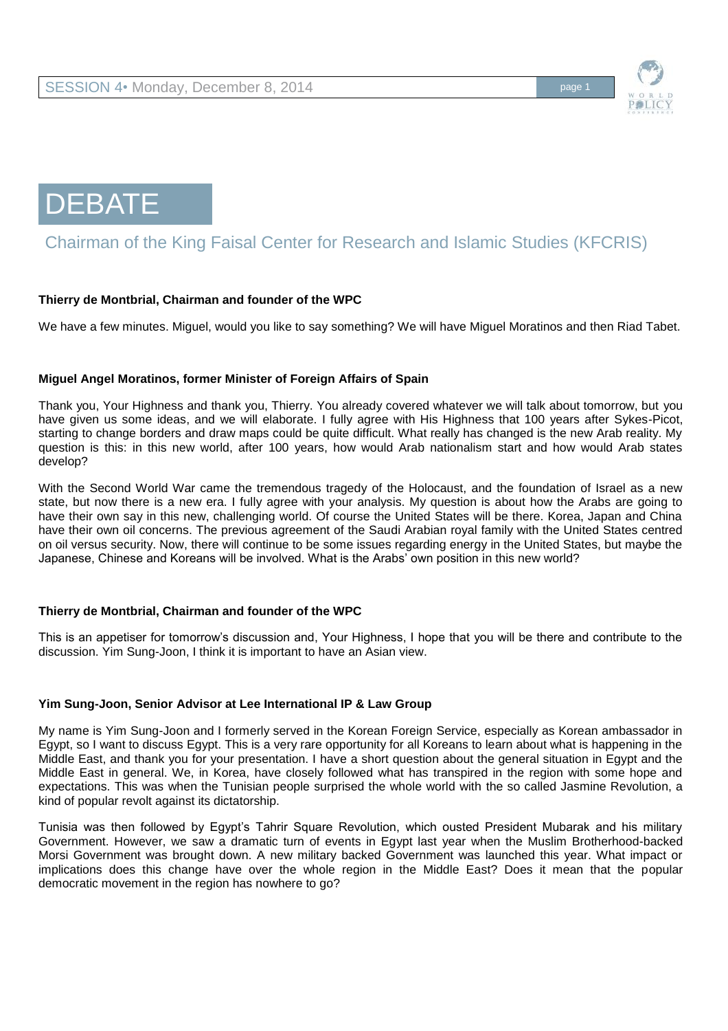

**DEBATE** 

# Chairman of the King Faisal Center for Research and Islamic Studies (KFCRIS)

# **Thierry de Montbrial, Chairman and founder of the WPC**

We have a few minutes. Miguel, would you like to say something? We will have Miguel Moratinos and then Riad Tabet.

#### **Miguel Angel Moratinos, former Minister of Foreign Affairs of Spain**

Thank you, Your Highness and thank you, Thierry. You already covered whatever we will talk about tomorrow, but you have given us some ideas, and we will elaborate. I fully agree with His Highness that 100 years after Sykes-Picot, starting to change borders and draw maps could be quite difficult. What really has changed is the new Arab reality. My question is this: in this new world, after 100 years, how would Arab nationalism start and how would Arab states develop?

With the Second World War came the tremendous tragedy of the Holocaust, and the foundation of Israel as a new state, but now there is a new era. I fully agree with your analysis. My question is about how the Arabs are going to have their own say in this new, challenging world. Of course the United States will be there. Korea, Japan and China have their own oil concerns. The previous agreement of the Saudi Arabian royal family with the United States centred on oil versus security. Now, there will continue to be some issues regarding energy in the United States, but maybe the Japanese, Chinese and Koreans will be involved. What is the Arabs' own position in this new world?

#### **Thierry de Montbrial, Chairman and founder of the WPC**

This is an appetiser for tomorrow's discussion and, Your Highness, I hope that you will be there and contribute to the discussion. Yim Sung-Joon, I think it is important to have an Asian view.

#### **Yim Sung-Joon, Senior Advisor at Lee International IP & Law Group**

My name is Yim Sung-Joon and I formerly served in the Korean Foreign Service, especially as Korean ambassador in Egypt, so I want to discuss Egypt. This is a very rare opportunity for all Koreans to learn about what is happening in the Middle East, and thank you for your presentation. I have a short question about the general situation in Egypt and the Middle East in general. We, in Korea, have closely followed what has transpired in the region with some hope and expectations. This was when the Tunisian people surprised the whole world with the so called Jasmine Revolution, a kind of popular revolt against its dictatorship.

Tunisia was then followed by Egypt's Tahrir Square Revolution, which ousted President Mubarak and his military Government. However, we saw a dramatic turn of events in Egypt last year when the Muslim Brotherhood-backed Morsi Government was brought down. A new military backed Government was launched this year. What impact or implications does this change have over the whole region in the Middle East? Does it mean that the popular democratic movement in the region has nowhere to go?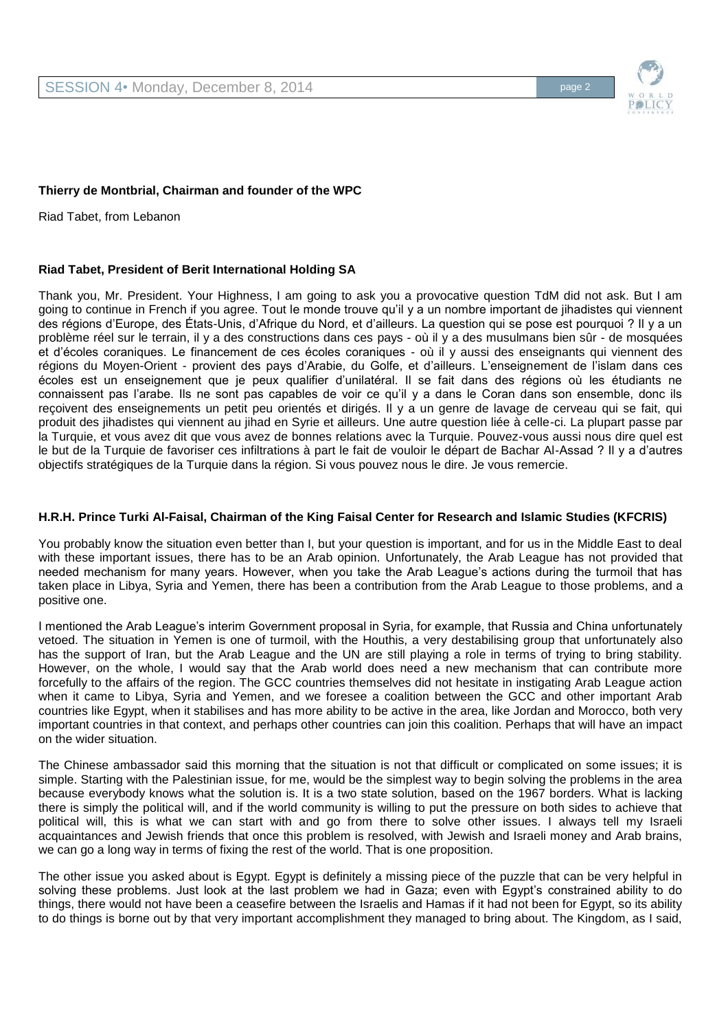

## **Thierry de Montbrial, Chairman and founder of the WPC**

Riad Tabet, from Lebanon

## **Riad Tabet, President of Berit International Holding SA**

Thank you, Mr. President. Your Highness, I am going to ask you a provocative question TdM did not ask. But I am going to continue in French if you agree. Tout le monde trouve qu'il y a un nombre important de jihadistes qui viennent des régions d'Europe, des États-Unis, d'Afrique du Nord, et d'ailleurs. La question qui se pose est pourquoi ? Il y a un problème réel sur le terrain, il y a des constructions dans ces pays - où il y a des musulmans bien sûr - de mosquées et d'écoles coraniques. Le financement de ces écoles coraniques - où il y aussi des enseignants qui viennent des régions du Moyen-Orient - provient des pays d'Arabie, du Golfe, et d'ailleurs. L'enseignement de l'islam dans ces écoles est un enseignement que je peux qualifier d'unilatéral. Il se fait dans des régions où les étudiants ne connaissent pas l'arabe. Ils ne sont pas capables de voir ce qu'il y a dans le Coran dans son ensemble, donc ils reçoivent des enseignements un petit peu orientés et dirigés. Il y a un genre de lavage de cerveau qui se fait, qui produit des jihadistes qui viennent au jihad en Syrie et ailleurs. Une autre question liée à celle-ci. La plupart passe par la Turquie, et vous avez dit que vous avez de bonnes relations avec la Turquie. Pouvez-vous aussi nous dire quel est le but de la Turquie de favoriser ces infiltrations à part le fait de vouloir le départ de Bachar Al-Assad ? Il y a d'autres objectifs stratégiques de la Turquie dans la région. Si vous pouvez nous le dire. Je vous remercie.

## **H.R.H. Prince Turki Al-Faisal, Chairman of the King Faisal Center for Research and Islamic Studies (KFCRIS)**

You probably know the situation even better than I, but your question is important, and for us in the Middle East to deal with these important issues, there has to be an Arab opinion. Unfortunately, the Arab League has not provided that needed mechanism for many years. However, when you take the Arab League's actions during the turmoil that has taken place in Libya, Syria and Yemen, there has been a contribution from the Arab League to those problems, and a positive one.

I mentioned the Arab League's interim Government proposal in Syria, for example, that Russia and China unfortunately vetoed. The situation in Yemen is one of turmoil, with the Houthis, a very destabilising group that unfortunately also has the support of Iran, but the Arab League and the UN are still playing a role in terms of trying to bring stability. However, on the whole, I would say that the Arab world does need a new mechanism that can contribute more forcefully to the affairs of the region. The GCC countries themselves did not hesitate in instigating Arab League action when it came to Libya, Syria and Yemen, and we foresee a coalition between the GCC and other important Arab countries like Egypt, when it stabilises and has more ability to be active in the area, like Jordan and Morocco, both very important countries in that context, and perhaps other countries can join this coalition. Perhaps that will have an impact on the wider situation.

The Chinese ambassador said this morning that the situation is not that difficult or complicated on some issues; it is simple. Starting with the Palestinian issue, for me, would be the simplest way to begin solving the problems in the area because everybody knows what the solution is. It is a two state solution, based on the 1967 borders. What is lacking there is simply the political will, and if the world community is willing to put the pressure on both sides to achieve that political will, this is what we can start with and go from there to solve other issues. I always tell my Israeli acquaintances and Jewish friends that once this problem is resolved, with Jewish and Israeli money and Arab brains, we can go a long way in terms of fixing the rest of the world. That is one proposition.

The other issue you asked about is Egypt. Egypt is definitely a missing piece of the puzzle that can be very helpful in solving these problems. Just look at the last problem we had in Gaza; even with Egypt's constrained ability to do things, there would not have been a ceasefire between the Israelis and Hamas if it had not been for Egypt, so its ability to do things is borne out by that very important accomplishment they managed to bring about. The Kingdom, as I said,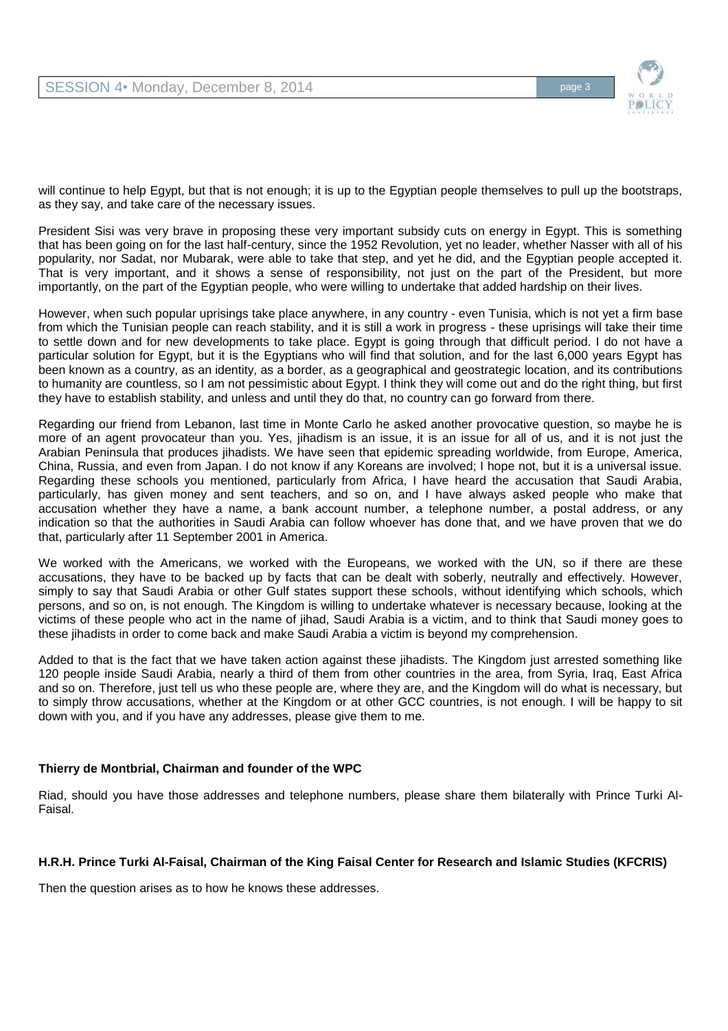

will continue to help Egypt, but that is not enough; it is up to the Egyptian people themselves to pull up the bootstraps, as they say, and take care of the necessary issues.

President Sisi was very brave in proposing these very important subsidy cuts on energy in Egypt. This is something that has been going on for the last half-century, since the 1952 Revolution, yet no leader, whether Nasser with all of his popularity, nor Sadat, nor Mubarak, were able to take that step, and yet he did, and the Egyptian people accepted it. That is very important, and it shows a sense of responsibility, not just on the part of the President, but more importantly, on the part of the Egyptian people, who were willing to undertake that added hardship on their lives.

However, when such popular uprisings take place anywhere, in any country - even Tunisia, which is not yet a firm base from which the Tunisian people can reach stability, and it is still a work in progress - these uprisings will take their time to settle down and for new developments to take place. Egypt is going through that difficult period. I do not have a particular solution for Egypt, but it is the Egyptians who will find that solution, and for the last 6,000 years Egypt has been known as a country, as an identity, as a border, as a geographical and geostrategic location, and its contributions to humanity are countless, so I am not pessimistic about Egypt. I think they will come out and do the right thing, but first they have to establish stability, and unless and until they do that, no country can go forward from there.

Regarding our friend from Lebanon, last time in Monte Carlo he asked another provocative question, so maybe he is more of an agent provocateur than you. Yes, jihadism is an issue, it is an issue for all of us, and it is not just the Arabian Peninsula that produces jihadists. We have seen that epidemic spreading worldwide, from Europe, America, China, Russia, and even from Japan. I do not know if any Koreans are involved; I hope not, but it is a universal issue. Regarding these schools you mentioned, particularly from Africa, I have heard the accusation that Saudi Arabia, particularly, has given money and sent teachers, and so on, and I have always asked people who make that accusation whether they have a name, a bank account number, a telephone number, a postal address, or any indication so that the authorities in Saudi Arabia can follow whoever has done that, and we have proven that we do that, particularly after 11 September 2001 in America.

We worked with the Americans, we worked with the Europeans, we worked with the UN, so if there are these accusations, they have to be backed up by facts that can be dealt with soberly, neutrally and effectively. However, simply to say that Saudi Arabia or other Gulf states support these schools, without identifying which schools, which persons, and so on, is not enough. The Kingdom is willing to undertake whatever is necessary because, looking at the victims of these people who act in the name of jihad, Saudi Arabia is a victim, and to think that Saudi money goes to these jihadists in order to come back and make Saudi Arabia a victim is beyond my comprehension.

Added to that is the fact that we have taken action against these jihadists. The Kingdom just arrested something like 120 people inside Saudi Arabia, nearly a third of them from other countries in the area, from Syria, Iraq, East Africa and so on. Therefore, just tell us who these people are, where they are, and the Kingdom will do what is necessary, but to simply throw accusations, whether at the Kingdom or at other GCC countries, is not enough. I will be happy to sit down with you, and if you have any addresses, please give them to me.

# **Thierry de Montbrial, Chairman and founder of the WPC**

Riad, should you have those addresses and telephone numbers, please share them bilaterally with Prince Turki Al-Faisal.

#### **H.R.H. Prince Turki Al-Faisal, Chairman of the King Faisal Center for Research and Islamic Studies (KFCRIS)**

Then the question arises as to how he knows these addresses.